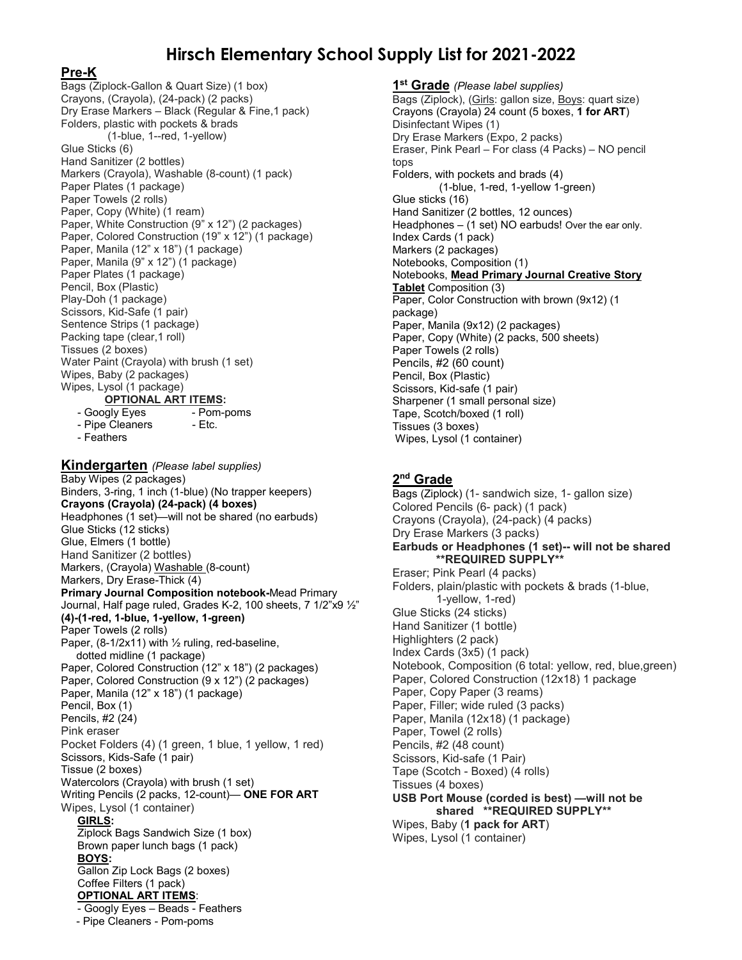# **Hirsch Elementary School Supply List for 2021-2022**

#### **Pre-K**

Bags (Ziplock-Gallon & Quart Size) (1 box) Crayons, (Crayola), (24-pack) (2 packs) Dry Erase Markers – Black (Regular & Fine,1 pack) Folders, plastic with pockets & brads (1-blue, 1--red, 1-yellow) Glue Sticks (6) Hand Sanitizer (2 bottles) Markers (Crayola), Washable (8-count) (1 pack) Paper Plates (1 package) Paper Towels (2 rolls) Paper, Copy (White) (1 ream) Paper, White Construction (9" x 12") (2 packages) Paper, Colored Construction (19" x 12") (1 package) Paper, Manila (12" x 18") (1 package) Paper, Manila (9" x 12") (1 package) Paper Plates (1 package) Pencil, Box (Plastic) Play-Doh (1 package) Scissors, Kid-Safe (1 pair) Sentence Strips (1 package) Packing tape (clear,1 roll) Tissues (2 boxes) Water Paint (Crayola) with brush (1 set) Wipes, Baby (2 packages) Wipes, Lysol (1 package) **OPTIONAL ART ITEMS:**<br>hgly Eyes **Pom-poms** - Googly Eyes

- Pipe Cleaners - Etc.

- Pipe Cleaners - Pom-poms

- Feathers

**Kindergarten** *(Please label supplies)*  Baby Wipes (2 packages) Binders, 3-ring, 1 inch (1-blue) (No trapper keepers) **Crayons (Crayola) (24-pack) (4 boxes)** Headphones (1 set)—will not be shared (no earbuds) Glue Sticks (12 sticks) Glue, Elmers (1 bottle) Hand Sanitizer (2 bottles) Markers, (Crayola) Washable (8-count) Markers, Dry Erase-Thick (4) **Primary Journal Composition notebook-**Mead Primary Journal, Half page ruled, Grades K-2, 100 sheets, 7 1/2"x9 ½" **(4)-(1-red, 1-blue, 1-yellow, 1-green)** Paper Towels (2 rolls) Paper, (8-1/2x11) with ½ ruling, red-baseline, dotted midline (1 package) Paper, Colored Construction (12" x 18") (2 packages) Paper, Colored Construction (9 x 12") (2 packages) Paper, Manila (12" x 18") (1 package) Pencil, Box (1) Pencils, #2 (24) Pink eraser Pocket Folders (4) (1 green, 1 blue, 1 yellow, 1 red) Scissors, Kids-Safe (1 pair) Tissue (2 boxes) Watercolors (Crayola) with brush (1 set) Writing Pencils (2 packs, 12-count)— **ONE FOR ART** Wipes, Lysol (1 container) **GIRLS:** Ziplock Bags Sandwich Size (1 box) Brown paper lunch bags (1 pack) **BOYS:** Gallon Zip Lock Bags (2 boxes) Coffee Filters (1 pack) **OPTIONAL ART ITEMS**: - Googly Eyes – Beads - Feathers

**1st Grade** *(Please label supplies)* Bags (Ziplock), (Girls: gallon size, Boys: quart size) Crayons (Crayola) 24 count (5 boxes, **1 for ART**) Disinfectant Wipes (1) Dry Erase Markers (Expo, 2 packs) Eraser, Pink Pearl – For class (4 Packs) – NO pencil tops Folders, with pockets and brads (4) (1-blue, 1-red, 1-yellow 1-green) Glue sticks (16) Hand Sanitizer (2 bottles, 12 ounces) Headphones – (1 set) NO earbuds! Over the ear only. Index Cards (1 pack) Markers (2 packages) Notebooks, Composition (1) Notebooks, **Mead Primary Journal Creative Story Tablet** Composition (3) Paper, Color Construction with brown (9x12) (1 package) Paper, Manila (9x12) (2 packages) Paper, Copy (White) (2 packs, 500 sheets) Paper Towels (2 rolls) Pencils, #2 (60 count) Pencil, Box (Plastic) Scissors, Kid-safe (1 pair) Sharpener (1 small personal size) Tape, Scotch/boxed (1 roll) Tissues (3 boxes) Wipes, Lysol (1 container)

#### **2nd Grade**

Bags (Ziplock) (1- sandwich size, 1- gallon size) Colored Pencils (6- pack) (1 pack) Crayons (Crayola), (24-pack) (4 packs) Dry Erase Markers (3 packs) **Earbuds or Headphones (1 set)-- will not be shared \*\*REQUIRED SUPPLY\*\*** Eraser; Pink Pearl (4 packs) Folders, plain/plastic with pockets & brads (1-blue, 1-yellow, 1-red) Glue Sticks (24 sticks) Hand Sanitizer (1 bottle) Highlighters (2 pack) Index Cards (3x5) (1 pack) Notebook, Composition (6 total: yellow, red, blue,green) Paper, Colored Construction (12x18) 1 package Paper, Copy Paper (3 reams) Paper, Filler; wide ruled (3 packs) Paper, Manila (12x18) (1 package) Paper, Towel (2 rolls) Pencils, #2 (48 count) Scissors, Kid-safe (1 Pair) Tape (Scotch - Boxed) (4 rolls) Tissues (4 boxes) **USB Port Mouse (corded is best) —will not be shared \*\*REQUIRED SUPPLY\*\*** Wipes, Baby (**1 pack for ART**)

Wipes, Lysol (1 container)